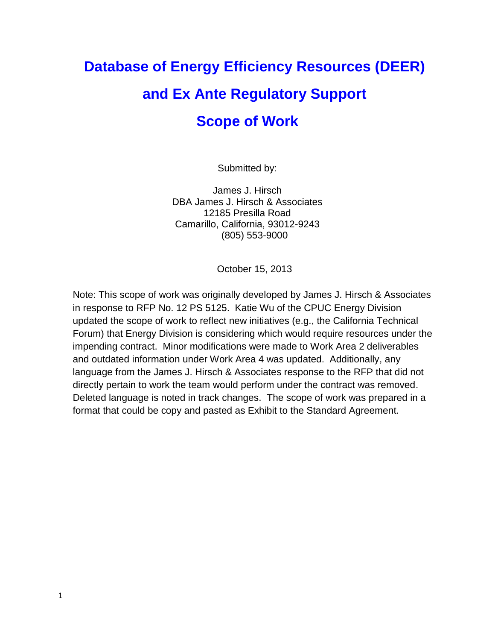# **Database of Energy Efficiency Resources (DEER) and Ex Ante Regulatory Support Scope of Work**

Submitted by:

James J. Hirsch DBA James J. Hirsch & Associates 12185 Presilla Road Camarillo, California, 93012-9243 (805) 553-9000

October 15, 2013

Note: This scope of work was originally developed by James J. Hirsch & Associates in response to RFP No. 12 PS 5125. Katie Wu of the CPUC Energy Division updated the scope of work to reflect new initiatives (e.g., the California Technical Forum) that Energy Division is considering which would require resources under the impending contract. Minor modifications were made to Work Area 2 deliverables and outdated information under Work Area 4 was updated. Additionally, any language from the James J. Hirsch & Associates response to the RFP that did not directly pertain to work the team would perform under the contract was removed. Deleted language is noted in track changes. The scope of work was prepared in a format that could be copy and pasted as Exhibit to the Standard Agreement.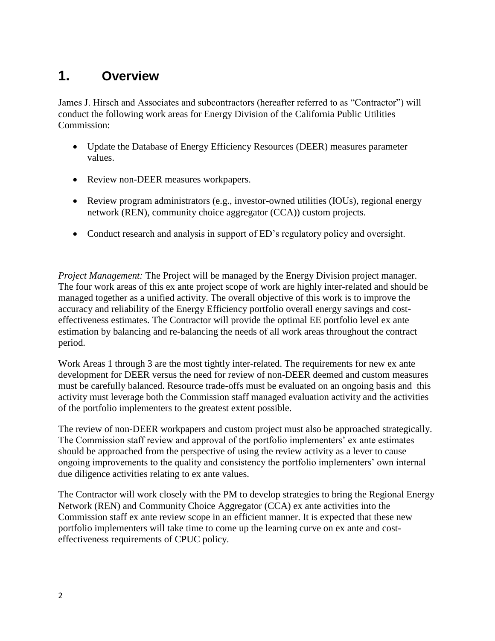# **1. Overview**

James J. Hirsch and Associates and subcontractors (hereafter referred to as "Contractor") will conduct the following work areas for Energy Division of the California Public Utilities Commission:

- Update the Database of Energy Efficiency Resources (DEER) measures parameter values.
- Review non-DEER measures workpapers.
- Review program administrators (e.g., investor-owned utilities (IOUs), regional energy network (REN), community choice aggregator (CCA)) custom projects.
- Conduct research and analysis in support of ED's regulatory policy and oversight.

*Project Management:* The Project will be managed by the Energy Division project manager. The four work areas of this ex ante project scope of work are highly inter-related and should be managed together as a unified activity. The overall objective of this work is to improve the accuracy and reliability of the Energy Efficiency portfolio overall energy savings and costeffectiveness estimates. The Contractor will provide the optimal EE portfolio level ex ante estimation by balancing and re-balancing the needs of all work areas throughout the contract period.

Work Areas 1 through 3 are the most tightly inter-related. The requirements for new ex ante development for DEER versus the need for review of non-DEER deemed and custom measures must be carefully balanced. Resource trade-offs must be evaluated on an ongoing basis and this activity must leverage both the Commission staff managed evaluation activity and the activities of the portfolio implementers to the greatest extent possible.

The review of non-DEER workpapers and custom project must also be approached strategically. The Commission staff review and approval of the portfolio implementers' ex ante estimates should be approached from the perspective of using the review activity as a lever to cause ongoing improvements to the quality and consistency the portfolio implementers' own internal due diligence activities relating to ex ante values.

The Contractor will work closely with the PM to develop strategies to bring the Regional Energy Network (REN) and Community Choice Aggregator (CCA) ex ante activities into the Commission staff ex ante review scope in an efficient manner. It is expected that these new portfolio implementers will take time to come up the learning curve on ex ante and costeffectiveness requirements of CPUC policy.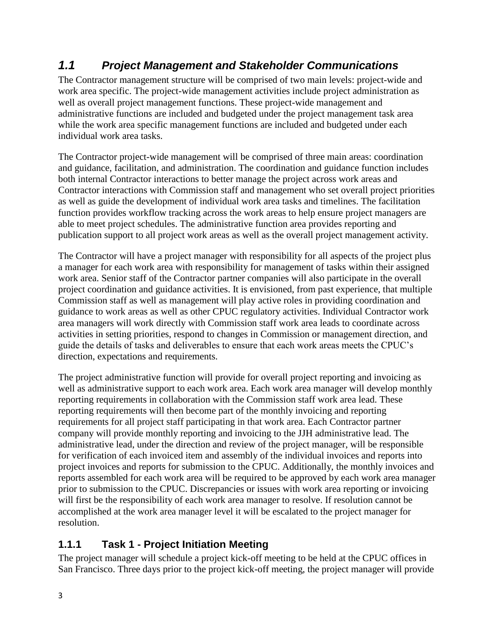## *1.1 Project Management and Stakeholder Communications*

The Contractor management structure will be comprised of two main levels: project-wide and work area specific. The project-wide management activities include project administration as well as overall project management functions. These project-wide management and administrative functions are included and budgeted under the project management task area while the work area specific management functions are included and budgeted under each individual work area tasks.

The Contractor project-wide management will be comprised of three main areas: coordination and guidance, facilitation, and administration. The coordination and guidance function includes both internal Contractor interactions to better manage the project across work areas and Contractor interactions with Commission staff and management who set overall project priorities as well as guide the development of individual work area tasks and timelines. The facilitation function provides workflow tracking across the work areas to help ensure project managers are able to meet project schedules. The administrative function area provides reporting and publication support to all project work areas as well as the overall project management activity.

The Contractor will have a project manager with responsibility for all aspects of the project plus a manager for each work area with responsibility for management of tasks within their assigned work area. Senior staff of the Contractor partner companies will also participate in the overall project coordination and guidance activities. It is envisioned, from past experience, that multiple Commission staff as well as management will play active roles in providing coordination and guidance to work areas as well as other CPUC regulatory activities. Individual Contractor work area managers will work directly with Commission staff work area leads to coordinate across activities in setting priorities, respond to changes in Commission or management direction, and guide the details of tasks and deliverables to ensure that each work areas meets the CPUC's direction, expectations and requirements.

The project administrative function will provide for overall project reporting and invoicing as well as administrative support to each work area. Each work area manager will develop monthly reporting requirements in collaboration with the Commission staff work area lead. These reporting requirements will then become part of the monthly invoicing and reporting requirements for all project staff participating in that work area. Each Contractor partner company will provide monthly reporting and invoicing to the JJH administrative lead. The administrative lead, under the direction and review of the project manager, will be responsible for verification of each invoiced item and assembly of the individual invoices and reports into project invoices and reports for submission to the CPUC. Additionally, the monthly invoices and reports assembled for each work area will be required to be approved by each work area manager prior to submission to the CPUC. Discrepancies or issues with work area reporting or invoicing will first be the responsibility of each work area manager to resolve. If resolution cannot be accomplished at the work area manager level it will be escalated to the project manager for resolution.

## **1.1.1 Task 1** ‐ **Project Initiation Meeting**

The project manager will schedule a project kick-off meeting to be held at the CPUC offices in San Francisco. Three days prior to the project kick-off meeting, the project manager will provide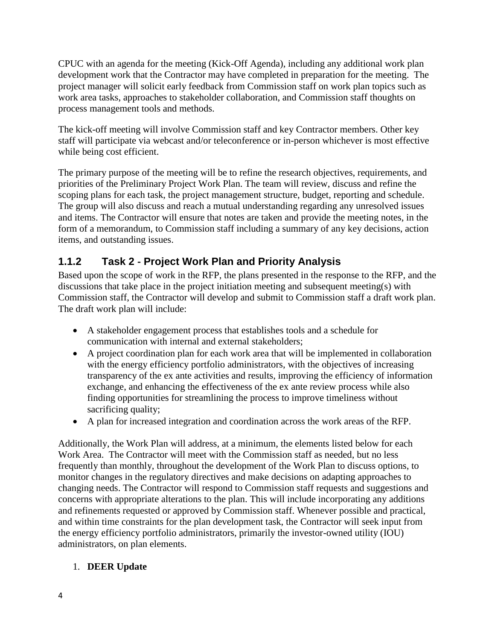CPUC with an agenda for the meeting (Kick-Off Agenda), including any additional work plan development work that the Contractor may have completed in preparation for the meeting. The project manager will solicit early feedback from Commission staff on work plan topics such as work area tasks, approaches to stakeholder collaboration, and Commission staff thoughts on process management tools and methods.

The kick-off meeting will involve Commission staff and key Contractor members. Other key staff will participate via webcast and/or teleconference or in-person whichever is most effective while being cost efficient.

The primary purpose of the meeting will be to refine the research objectives, requirements, and priorities of the Preliminary Project Work Plan. The team will review, discuss and refine the scoping plans for each task, the project management structure, budget, reporting and schedule. The group will also discuss and reach a mutual understanding regarding any unresolved issues and items. The Contractor will ensure that notes are taken and provide the meeting notes, in the form of a memorandum, to Commission staff including a summary of any key decisions, action items, and outstanding issues.

## <span id="page-3-0"></span>**1.1.2 Task 2** ‐ **Project Work Plan and Priority Analysis**

Based upon the scope of work in the RFP, the plans presented in the response to the RFP, and the discussions that take place in the project initiation meeting and subsequent meeting(s) with Commission staff, the Contractor will develop and submit to Commission staff a draft work plan. The draft work plan will include:

- A stakeholder engagement process that establishes tools and a schedule for communication with internal and external stakeholders;
- A project coordination plan for each work area that will be implemented in collaboration with the energy efficiency portfolio administrators, with the objectives of increasing transparency of the ex ante activities and results, improving the efficiency of information exchange, and enhancing the effectiveness of the ex ante review process while also finding opportunities for streamlining the process to improve timeliness without sacrificing quality;
- A plan for increased integration and coordination across the work areas of the RFP.

Additionally, the Work Plan will address, at a minimum, the elements listed below for each Work Area. The Contractor will meet with the Commission staff as needed, but no less frequently than monthly, throughout the development of the Work Plan to discuss options, to monitor changes in the regulatory directives and make decisions on adapting approaches to changing needs. The Contractor will respond to Commission staff requests and suggestions and concerns with appropriate alterations to the plan. This will include incorporating any additions and refinements requested or approved by Commission staff. Whenever possible and practical, and within time constraints for the plan development task, the Contractor will seek input from the energy efficiency portfolio administrators, primarily the investor-owned utility (IOU) administrators, on plan elements.

#### 1. **DEER Update**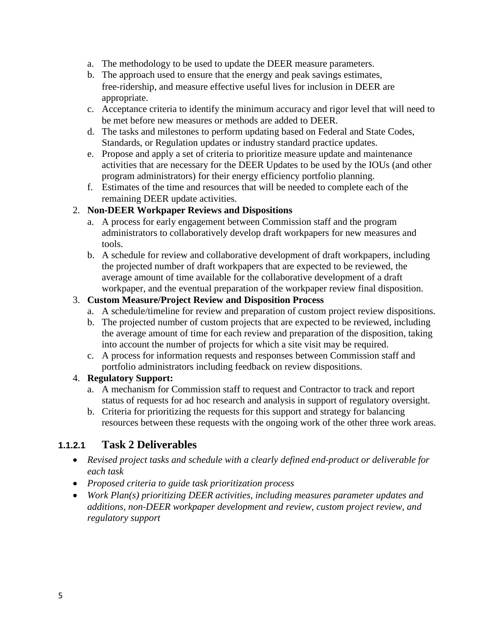- a. The methodology to be used to update the DEER measure parameters.
- b. The approach used to ensure that the energy and peak savings estimates, free‐ridership, and measure effective useful lives for inclusion in DEER are appropriate.
- c. Acceptance criteria to identify the minimum accuracy and rigor level that will need to be met before new measures or methods are added to DEER.
- d. The tasks and milestones to perform updating based on Federal and State Codes, Standards, or Regulation updates or industry standard practice updates.
- e. Propose and apply a set of criteria to prioritize measure update and maintenance activities that are necessary for the DEER Updates to be used by the IOUs (and other program administrators) for their energy efficiency portfolio planning.
- f. Estimates of the time and resources that will be needed to complete each of the remaining DEER update activities.

#### 2. **Non‐DEER Workpaper Reviews and Dispositions**

- a. A process for early engagement between Commission staff and the program administrators to collaboratively develop draft workpapers for new measures and tools.
- b. A schedule for review and collaborative development of draft workpapers, including the projected number of draft workpapers that are expected to be reviewed, the average amount of time available for the collaborative development of a draft workpaper, and the eventual preparation of the workpaper review final disposition.

#### 3. **Custom Measure/Project Review and Disposition Process**

- a. A schedule/timeline for review and preparation of custom project review dispositions.
- b. The projected number of custom projects that are expected to be reviewed, including the average amount of time for each review and preparation of the disposition, taking into account the number of projects for which a site visit may be required.
- c. A process for information requests and responses between Commission staff and portfolio administrators including feedback on review dispositions.

#### 4. **Regulatory Support:**

- a. A mechanism for Commission staff to request and Contractor to track and report status of requests for ad hoc research and analysis in support of regulatory oversight.
- b. Criteria for prioritizing the requests for this support and strategy for balancing resources between these requests with the ongoing work of the other three work areas.

#### **1.1.2.1 Task 2 Deliverables**

- *Revised project tasks and schedule with a clearly defined end‐product or deliverable for each task*
- *Proposed criteria to guide task prioritization process*
- *Work Plan(s) prioritizing DEER activities, including measures parameter updates and additions, non‐DEER workpaper development and review, custom project review, and regulatory support*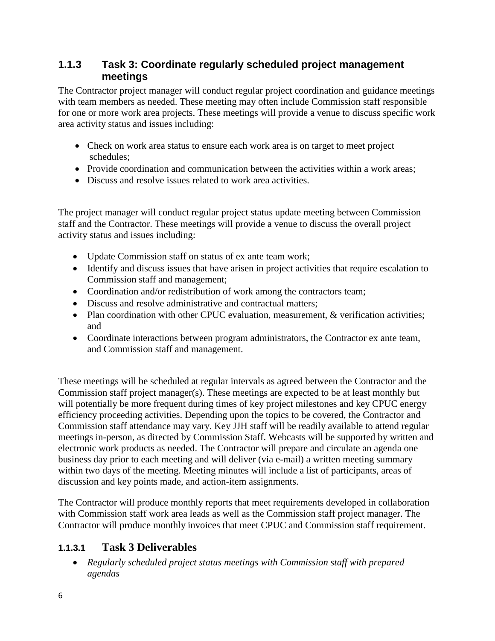#### **1.1.3 Task 3: Coordinate regularly scheduled project management meetings**

The Contractor project manager will conduct regular project coordination and guidance meetings with team members as needed. These meeting may often include Commission staff responsible for one or more work area projects. These meetings will provide a venue to discuss specific work area activity status and issues including:

- Check on work area status to ensure each work area is on target to meet project schedules;
- Provide coordination and communication between the activities within a work areas;
- Discuss and resolve issues related to work area activities.

The project manager will conduct regular project status update meeting between Commission staff and the Contractor. These meetings will provide a venue to discuss the overall project activity status and issues including:

- Update Commission staff on status of ex ante team work;
- Identify and discuss issues that have arisen in project activities that require escalation to Commission staff and management;
- Coordination and/or redistribution of work among the contractors team;
- Discuss and resolve administrative and contractual matters:
- Plan coordination with other CPUC evaluation, measurement, & verification activities; and
- Coordinate interactions between program administrators, the Contractor ex ante team, and Commission staff and management.

These meetings will be scheduled at regular intervals as agreed between the Contractor and the Commission staff project manager(s). These meetings are expected to be at least monthly but will potentially be more frequent during times of key project milestones and key CPUC energy efficiency proceeding activities. Depending upon the topics to be covered, the Contractor and Commission staff attendance may vary. Key JJH staff will be readily available to attend regular meetings in-person, as directed by Commission Staff. Webcasts will be supported by written and electronic work products as needed. The Contractor will prepare and circulate an agenda one business day prior to each meeting and will deliver (via e-mail) a written meeting summary within two days of the meeting. Meeting minutes will include a list of participants, areas of discussion and key points made, and action-item assignments.

The Contractor will produce monthly reports that meet requirements developed in collaboration with Commission staff work area leads as well as the Commission staff project manager. The Contractor will produce monthly invoices that meet CPUC and Commission staff requirement.

## **1.1.3.1 Task 3 Deliverables**

 *Regularly scheduled project status meetings with Commission staff with prepared agendas*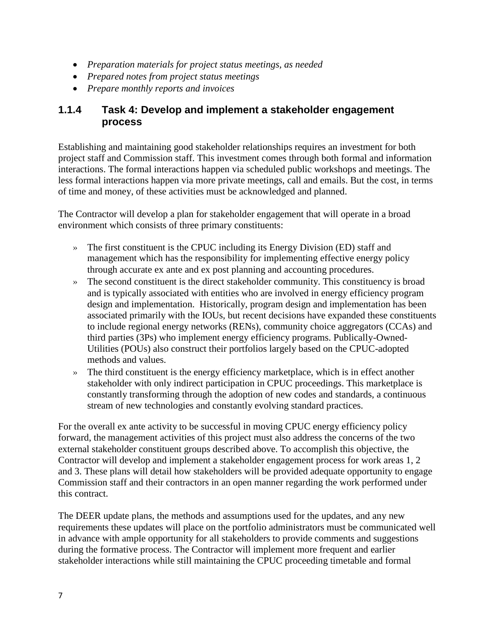- *Preparation materials for project status meetings, as needed*
- *Prepared notes from project status meetings*
- *Prepare monthly reports and invoices*

#### **1.1.4 Task 4: Develop and implement a stakeholder engagement process**

Establishing and maintaining good stakeholder relationships requires an investment for both project staff and Commission staff. This investment comes through both formal and information interactions. The formal interactions happen via scheduled public workshops and meetings. The less formal interactions happen via more private meetings, call and emails. But the cost, in terms of time and money, of these activities must be acknowledged and planned.

The Contractor will develop a plan for stakeholder engagement that will operate in a broad environment which consists of three primary constituents:

- » The first constituent is the CPUC including its Energy Division (ED) staff and management which has the responsibility for implementing effective energy policy through accurate ex ante and ex post planning and accounting procedures.
- » The second constituent is the direct stakeholder community. This constituency is broad and is typically associated with entities who are involved in energy efficiency program design and implementation. Historically, program design and implementation has been associated primarily with the IOUs, but recent decisions have expanded these constituents to include regional energy networks (RENs), community choice aggregators (CCAs) and third parties (3Ps) who implement energy efficiency programs. Publically-Owned-Utilities (POUs) also construct their portfolios largely based on the CPUC-adopted methods and values.
- » The third constituent is the energy efficiency marketplace, which is in effect another stakeholder with only indirect participation in CPUC proceedings. This marketplace is constantly transforming through the adoption of new codes and standards, a continuous stream of new technologies and constantly evolving standard practices.

For the overall ex ante activity to be successful in moving CPUC energy efficiency policy forward, the management activities of this project must also address the concerns of the two external stakeholder constituent groups described above. To accomplish this objective, the Contractor will develop and implement a stakeholder engagement process for work areas 1, 2 and 3. These plans will detail how stakeholders will be provided adequate opportunity to engage Commission staff and their contractors in an open manner regarding the work performed under this contract.

The DEER update plans, the methods and assumptions used for the updates, and any new requirements these updates will place on the portfolio administrators must be communicated well in advance with ample opportunity for all stakeholders to provide comments and suggestions during the formative process. The Contractor will implement more frequent and earlier stakeholder interactions while still maintaining the CPUC proceeding timetable and formal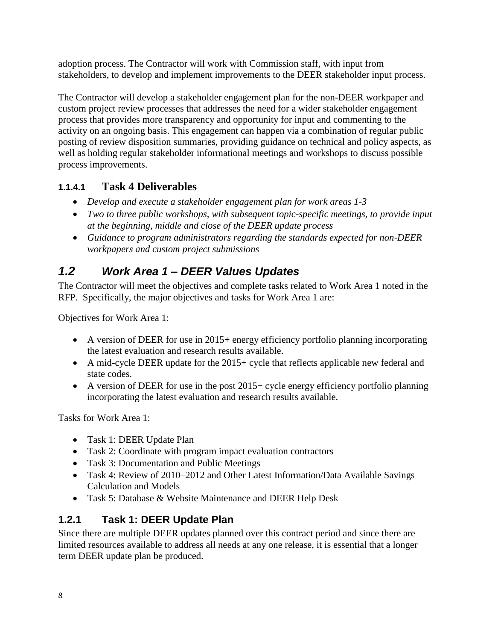adoption process. The Contractor will work with Commission staff, with input from stakeholders, to develop and implement improvements to the DEER stakeholder input process.

The Contractor will develop a stakeholder engagement plan for the non-DEER workpaper and custom project review processes that addresses the need for a wider stakeholder engagement process that provides more transparency and opportunity for input and commenting to the activity on an ongoing basis. This engagement can happen via a combination of regular public posting of review disposition summaries, providing guidance on technical and policy aspects, as well as holding regular stakeholder informational meetings and workshops to discuss possible process improvements.

## **1.1.4.1 Task 4 Deliverables**

- *Develop and execute a stakeholder engagement plan for work areas 1‐3*
- *Two to three public workshops, with subsequent topic‐specific meetings, to provide input at the beginning, middle and close of the DEER update process*
- *Guidance to program administrators regarding the standards expected for non‐DEER workpapers and custom project submissions*

# *1.2 Work Area 1 – DEER Values Updates*

The Contractor will meet the objectives and complete tasks related to Work Area 1 noted in the RFP. Specifically, the major objectives and tasks for Work Area 1 are:

Objectives for Work Area 1:

- $\bullet$  A version of DEER for use in 2015+ energy efficiency portfolio planning incorporating the latest evaluation and research results available.
- A mid-cycle DEER update for the  $2015+$  cycle that reflects applicable new federal and state codes.
- $\bullet$  A version of DEER for use in the post 2015 + cycle energy efficiency portfolio planning incorporating the latest evaluation and research results available.

Tasks for Work Area 1:

- Task 1: DEER Update Plan
- Task 2: Coordinate with program impact evaluation contractors
- Task 3: Documentation and Public Meetings
- Task 4: Review of 2010–2012 and Other Latest Information/Data Available Savings Calculation and Models
- Task 5: Database & Website Maintenance and DEER Help Desk

## **1.2.1 Task 1: DEER Update Plan**

Since there are multiple DEER updates planned over this contract period and since there are limited resources available to address all needs at any one release, it is essential that a longer term DEER update plan be produced.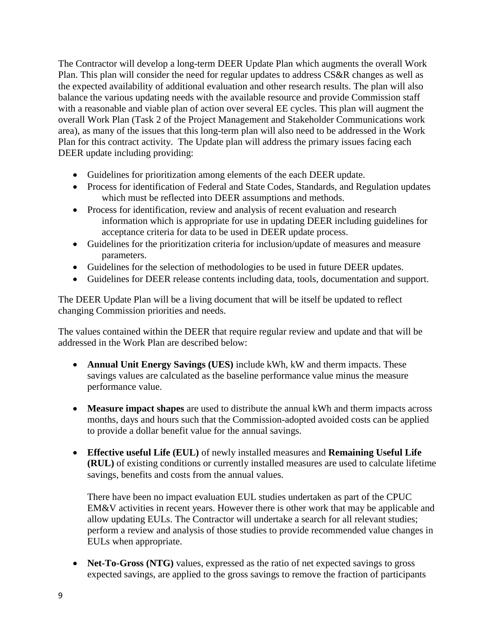The Contractor will develop a long-term DEER Update Plan which augments the overall Work Plan. This plan will consider the need for regular updates to address CS&R changes as well as the expected availability of additional evaluation and other research results. The plan will also balance the various updating needs with the available resource and provide Commission staff with a reasonable and viable plan of action over several EE cycles. This plan will augment the overall Work Plan (Task 2 of the Project Management and Stakeholder Communications work area), as many of the issues that this long-term plan will also need to be addressed in the Work Plan for this contract activity. The Update plan will address the primary issues facing each DEER update including providing:

- Guidelines for prioritization among elements of the each DEER update.
- Process for identification of Federal and State Codes, Standards, and Regulation updates which must be reflected into DEER assumptions and methods.
- Process for identification, review and analysis of recent evaluation and research information which is appropriate for use in updating DEER including guidelines for acceptance criteria for data to be used in DEER update process.
- Guidelines for the prioritization criteria for inclusion/update of measures and measure parameters.
- Guidelines for the selection of methodologies to be used in future DEER updates.
- Guidelines for DEER release contents including data, tools, documentation and support.

The DEER Update Plan will be a living document that will be itself be updated to reflect changing Commission priorities and needs.

The values contained within the DEER that require regular review and update and that will be addressed in the Work Plan are described below:

- **Annual Unit Energy Savings (UES)** include kWh, kW and therm impacts. These savings values are calculated as the baseline performance value minus the measure performance value.
- **Measure impact shapes** are used to distribute the annual kWh and therm impacts across months, days and hours such that the Commission-adopted avoided costs can be applied to provide a dollar benefit value for the annual savings.
- **Effective useful Life (EUL)** of newly installed measures and **Remaining Useful Life (RUL)** of existing conditions or currently installed measures are used to calculate lifetime savings, benefits and costs from the annual values.

There have been no impact evaluation EUL studies undertaken as part of the CPUC EM&V activities in recent years. However there is other work that may be applicable and allow updating EULs. The Contractor will undertake a search for all relevant studies; perform a review and analysis of those studies to provide recommended value changes in EULs when appropriate.

• **Net-To-Gross (NTG)** values, expressed as the ratio of net expected savings to gross expected savings, are applied to the gross savings to remove the fraction of participants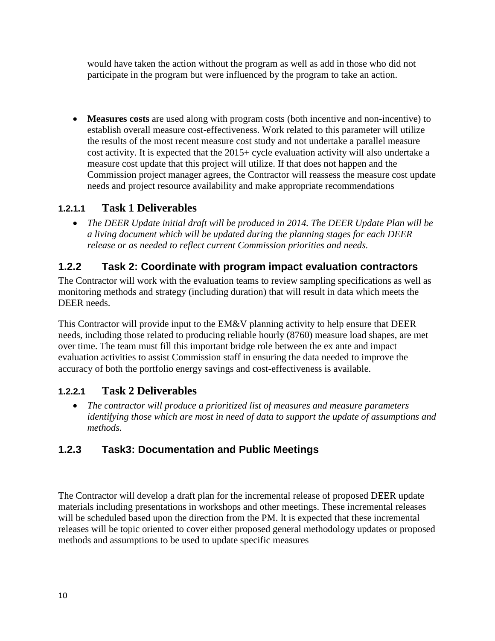would have taken the action without the program as well as add in those who did not participate in the program but were influenced by the program to take an action.

 **Measures costs** are used along with program costs (both incentive and non-incentive) to establish overall measure cost-effectiveness. Work related to this parameter will utilize the results of the most recent measure cost study and not undertake a parallel measure cost activity. It is expected that the 2015+ cycle evaluation activity will also undertake a measure cost update that this project will utilize. If that does not happen and the Commission project manager agrees, the Contractor will reassess the measure cost update needs and project resource availability and make appropriate recommendations

## **1.2.1.1 Task 1 Deliverables**

 *The DEER Update initial draft will be produced in 2014. The DEER Update Plan will be a living document which will be updated during the planning stages for each DEER release or as needed to reflect current Commission priorities and needs.*

## **1.2.2 Task 2: Coordinate with program impact evaluation contractors**

The Contractor will work with the evaluation teams to review sampling specifications as well as monitoring methods and strategy (including duration) that will result in data which meets the DEER needs.

This Contractor will provide input to the EM&V planning activity to help ensure that DEER needs, including those related to producing reliable hourly (8760) measure load shapes, are met over time. The team must fill this important bridge role between the ex ante and impact evaluation activities to assist Commission staff in ensuring the data needed to improve the accuracy of both the portfolio energy savings and cost-effectiveness is available.

## **1.2.2.1 Task 2 Deliverables**

 *The contractor will produce a prioritized list of measures and measure parameters identifying those which are most in need of data to support the update of assumptions and methods.*

## **1.2.3 Task3: Documentation and Public Meetings**

The Contractor will develop a draft plan for the incremental release of proposed DEER update materials including presentations in workshops and other meetings. These incremental releases will be scheduled based upon the direction from the PM. It is expected that these incremental releases will be topic oriented to cover either proposed general methodology updates or proposed methods and assumptions to be used to update specific measures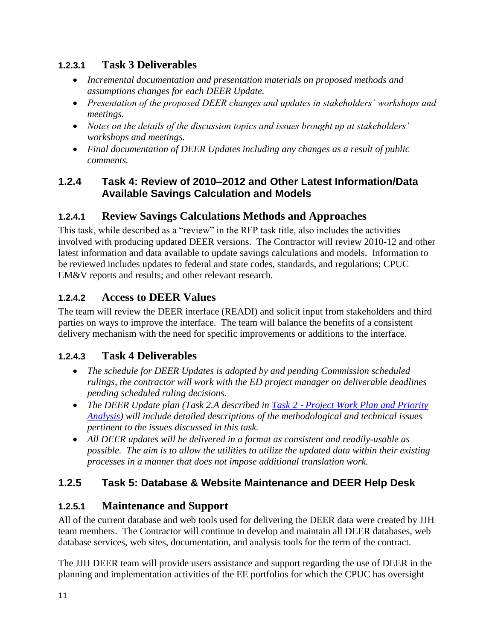#### **1.2.3.1 Task 3 Deliverables**

- *Incremental documentation and presentation materials on proposed methods and assumptions changes for each DEER Update.*
- *Presentation of the proposed DEER changes and updates in stakeholders' workshops and meetings.*
- *Notes on the details of the discussion topics and issues brought up at stakeholders' workshops and meetings.*
- *Final documentation of DEER Updates including any changes as a result of public comments.*

#### **1.2.4 Task 4: Review of 2010–2012 and Other Latest Information/Data Available Savings Calculation and Models**

## **1.2.4.1 Review Savings Calculations Methods and Approaches**

This task, while described as a "review" in the RFP task title, also includes the activities involved with producing updated DEER versions. The Contractor will review 2010-12 and other latest information and data available to update savings calculations and models. Information to be reviewed includes updates to federal and state codes, standards, and regulations; CPUC EM&V reports and results; and other relevant research.

## **1.2.4.2 Access to DEER Values**

The team will review the DEER interface (READI) and solicit input from stakeholders and third parties on ways to improve the interface. The team will balance the benefits of a consistent delivery mechanism with the need for specific improvements or additions to the interface.

## **1.2.4.3 Task 4 Deliverables**

- *The schedule for DEER Updates is adopted by and pending Commission scheduled rulings, the contractor will work with the ED project manager on deliverable deadlines pending scheduled ruling decisions.*
- The DEER Update plan (Task 2.A described in Task 2 *Project Work Plan and Priority [Analysis\)](#page-3-0) will include detailed descriptions of the methodological and technical issues pertinent to the issues discussed in this task.*
- *All DEER updates will be delivered in a format as consistent and readily-usable as possible. The aim is to allow the utilities to utilize the updated data within their existing processes in a manner that does not impose additional translation work.*

## **1.2.5 Task 5: Database & Website Maintenance and DEER Help Desk**

## **1.2.5.1 Maintenance and Support**

All of the current database and web tools used for delivering the DEER data were created by JJH team members. The Contractor will continue to develop and maintain all DEER databases, web database services, web sites, documentation, and analysis tools for the term of the contract.

The JJH DEER team will provide users assistance and support regarding the use of DEER in the planning and implementation activities of the EE portfolios for which the CPUC has oversight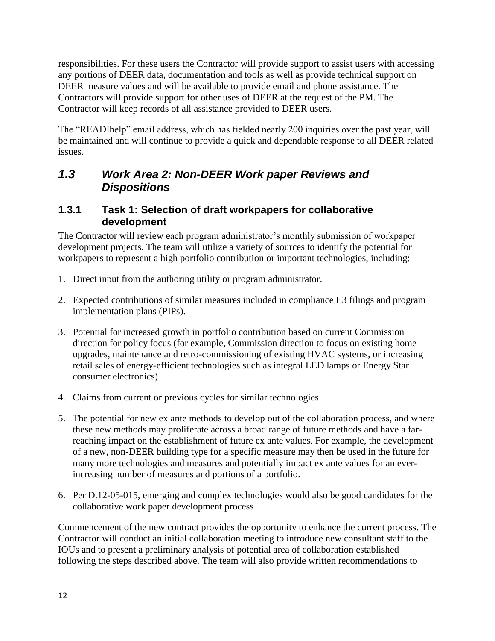responsibilities. For these users the Contractor will provide support to assist users with accessing any portions of DEER data, documentation and tools as well as provide technical support on DEER measure values and will be available to provide email and phone assistance. The Contractors will provide support for other uses of DEER at the request of the PM. The Contractor will keep records of all assistance provided to DEER users.

The "READIhelp" email address, which has fielded nearly 200 inquiries over the past year, will be maintained and will continue to provide a quick and dependable response to all DEER related issues.

## *1.3 Work Area 2: Non-DEER Work paper Reviews and Dispositions*

#### **1.3.1 Task 1: Selection of draft workpapers for collaborative development**

The Contractor will review each program administrator's monthly submission of workpaper development projects. The team will utilize a variety of sources to identify the potential for workpapers to represent a high portfolio contribution or important technologies, including:

- 1. Direct input from the authoring utility or program administrator.
- 2. Expected contributions of similar measures included in compliance E3 filings and program implementation plans (PIPs).
- 3. Potential for increased growth in portfolio contribution based on current Commission direction for policy focus (for example, Commission direction to focus on existing home upgrades, maintenance and retro-commissioning of existing HVAC systems, or increasing retail sales of energy-efficient technologies such as integral LED lamps or Energy Star consumer electronics)
- 4. Claims from current or previous cycles for similar technologies.
- 5. The potential for new ex ante methods to develop out of the collaboration process, and where these new methods may proliferate across a broad range of future methods and have a farreaching impact on the establishment of future ex ante values. For example, the development of a new, non-DEER building type for a specific measure may then be used in the future for many more technologies and measures and potentially impact ex ante values for an everincreasing number of measures and portions of a portfolio.
- 6. Per D.12-05-015, emerging and complex technologies would also be good candidates for the collaborative work paper development process

Commencement of the new contract provides the opportunity to enhance the current process. The Contractor will conduct an initial collaboration meeting to introduce new consultant staff to the IOUs and to present a preliminary analysis of potential area of collaboration established following the steps described above. The team will also provide written recommendations to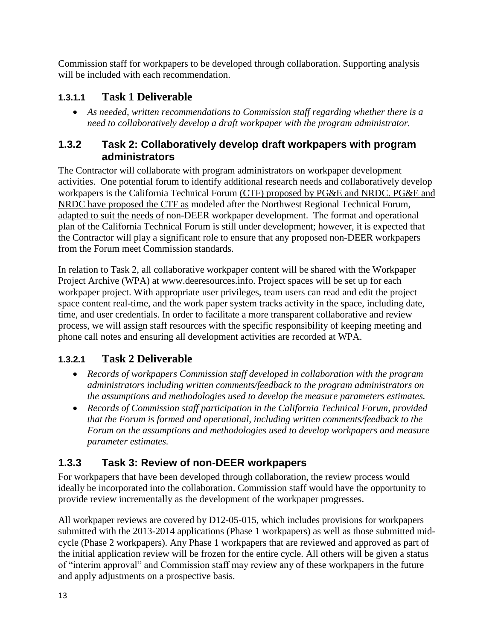Commission staff for workpapers to be developed through collaboration. Supporting analysis will be included with each recommendation.

## **1.3.1.1 Task 1 Deliverable**

 *As needed, written recommendations to Commission staff regarding whether there is a need to collaboratively develop a draft workpaper with the program administrator.*

#### **1.3.2 Task 2: Collaboratively develop draft workpapers with program administrators**

The Contractor will collaborate with program administrators on workpaper development activities. One potential forum to identify additional research needs and collaboratively develop workpapers is the California Technical Forum (CTF) proposed by PG&E and NRDC. PG&E and NRDC have proposed the CTF as modeled after the Northwest Regional Technical Forum, adapted to suit the needs of non-DEER workpaper development. The format and operational plan of the California Technical Forum is still under development; however, it is expected that the Contractor will play a significant role to ensure that any proposed non-DEER workpapers from the Forum meet Commission standards.

In relation to Task 2, all collaborative workpaper content will be shared with the Workpaper Project Archive (WPA) at www.deeresources.info. Project spaces will be set up for each workpaper project. With appropriate user privileges, team users can read and edit the project space content real-time, and the work paper system tracks activity in the space, including date, time, and user credentials. In order to facilitate a more transparent collaborative and review process, we will assign staff resources with the specific responsibility of keeping meeting and phone call notes and ensuring all development activities are recorded at WPA.

## **1.3.2.1 Task 2 Deliverable**

- *Records of workpapers Commission staff developed in collaboration with the program administrators including written comments/feedback to the program administrators on the assumptions and methodologies used to develop the measure parameters estimates.*
- *Records of Commission staff participation in the California Technical Forum, provided that the Forum is formed and operational, including written comments/feedback to the Forum on the assumptions and methodologies used to develop workpapers and measure parameter estimates.*

## **1.3.3 Task 3: Review of non-DEER workpapers**

For workpapers that have been developed through collaboration, the review process would ideally be incorporated into the collaboration. Commission staff would have the opportunity to provide review incrementally as the development of the workpaper progresses.

All workpaper reviews are covered by D12-05-015, which includes provisions for workpapers submitted with the 2013-2014 applications (Phase 1 workpapers) as well as those submitted midcycle (Phase 2 workpapers). Any Phase 1 workpapers that are reviewed and approved as part of the initial application review will be frozen for the entire cycle. All others will be given a status of "interim approval" and Commission staff may review any of these workpapers in the future and apply adjustments on a prospective basis.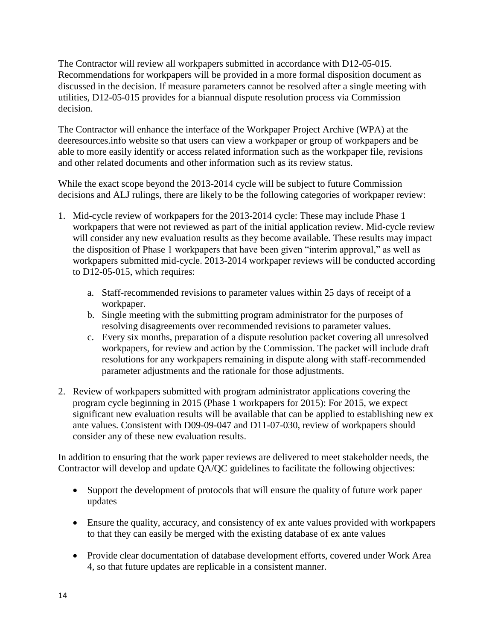The Contractor will review all workpapers submitted in accordance with D12-05-015. Recommendations for workpapers will be provided in a more formal disposition document as discussed in the decision. If measure parameters cannot be resolved after a single meeting with utilities, D12-05-015 provides for a biannual dispute resolution process via Commission decision.

The Contractor will enhance the interface of the Workpaper Project Archive (WPA) at the deeresources.info website so that users can view a workpaper or group of workpapers and be able to more easily identify or access related information such as the workpaper file, revisions and other related documents and other information such as its review status.

While the exact scope beyond the 2013-2014 cycle will be subject to future Commission decisions and ALJ rulings, there are likely to be the following categories of workpaper review:

- 1. Mid-cycle review of workpapers for the 2013-2014 cycle: These may include Phase 1 workpapers that were not reviewed as part of the initial application review. Mid-cycle review will consider any new evaluation results as they become available. These results may impact the disposition of Phase 1 workpapers that have been given "interim approval," as well as workpapers submitted mid-cycle. 2013-2014 workpaper reviews will be conducted according to D12-05-015, which requires:
	- a. Staff-recommended revisions to parameter values within 25 days of receipt of a workpaper.
	- b. Single meeting with the submitting program administrator for the purposes of resolving disagreements over recommended revisions to parameter values.
	- c. Every six months, preparation of a dispute resolution packet covering all unresolved workpapers, for review and action by the Commission. The packet will include draft resolutions for any workpapers remaining in dispute along with staff-recommended parameter adjustments and the rationale for those adjustments.
- 2. Review of workpapers submitted with program administrator applications covering the program cycle beginning in 2015 (Phase 1 workpapers for 2015): For 2015, we expect significant new evaluation results will be available that can be applied to establishing new ex ante values. Consistent with D09-09-047 and D11-07-030, review of workpapers should consider any of these new evaluation results.

In addition to ensuring that the work paper reviews are delivered to meet stakeholder needs, the Contractor will develop and update QA/QC guidelines to facilitate the following objectives:

- Support the development of protocols that will ensure the quality of future work paper updates
- Ensure the quality, accuracy, and consistency of ex ante values provided with workpapers to that they can easily be merged with the existing database of ex ante values
- Provide clear documentation of database development efforts, covered under Work Area 4, so that future updates are replicable in a consistent manner.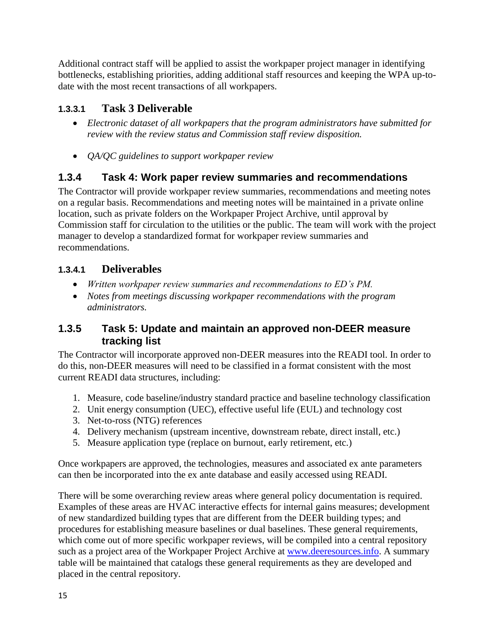Additional contract staff will be applied to assist the workpaper project manager in identifying bottlenecks, establishing priorities, adding additional staff resources and keeping the WPA up-todate with the most recent transactions of all workpapers.

## **1.3.3.1 Task 3 Deliverable**

- *Electronic dataset of all workpapers that the program administrators have submitted for review with the review status and Commission staff review disposition.*
- *QA/QC guidelines to support workpaper review*

## **1.3.4 Task 4: Work paper review summaries and recommendations**

The Contractor will provide workpaper review summaries, recommendations and meeting notes on a regular basis. Recommendations and meeting notes will be maintained in a private online location, such as private folders on the Workpaper Project Archive, until approval by Commission staff for circulation to the utilities or the public. The team will work with the project manager to develop a standardized format for workpaper review summaries and recommendations.

## **1.3.4.1 Deliverables**

- *Written workpaper review summaries and recommendations to ED's PM.*
- *Notes from meetings discussing workpaper recommendations with the program administrators.*

#### **1.3.5 Task 5: Update and maintain an approved non-DEER measure tracking list**

The Contractor will incorporate approved non-DEER measures into the READI tool. In order to do this, non-DEER measures will need to be classified in a format consistent with the most current READI data structures, including:

- 1. Measure, code baseline/industry standard practice and baseline technology classification
- 2. Unit energy consumption (UEC), effective useful life (EUL) and technology cost
- 3. Net-to-ross (NTG) references
- 4. Delivery mechanism (upstream incentive, downstream rebate, direct install, etc.)
- 5. Measure application type (replace on burnout, early retirement, etc.)

Once workpapers are approved, the technologies, measures and associated ex ante parameters can then be incorporated into the ex ante database and easily accessed using READI.

There will be some overarching review areas where general policy documentation is required. Examples of these areas are HVAC interactive effects for internal gains measures; development of new standardized building types that are different from the DEER building types; and procedures for establishing measure baselines or dual baselines. These general requirements, which come out of more specific workpaper reviews, will be compiled into a central repository such as a project area of the Workpaper Project Archive at [www.deeresources.info.](http://www.deeresources.info/) A summary table will be maintained that catalogs these general requirements as they are developed and placed in the central repository.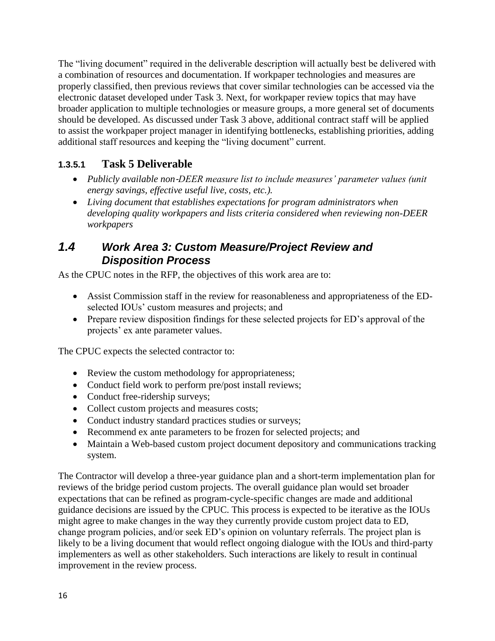The "living document" required in the deliverable description will actually best be delivered with a combination of resources and documentation. If workpaper technologies and measures are properly classified, then previous reviews that cover similar technologies can be accessed via the electronic dataset developed under Task 3. Next, for workpaper review topics that may have broader application to multiple technologies or measure groups, a more general set of documents should be developed. As discussed under Task 3 above, additional contract staff will be applied to assist the workpaper project manager in identifying bottlenecks, establishing priorities, adding additional staff resources and keeping the "living document" current.

## **1.3.5.1 Task 5 Deliverable**

- *Publicly available non*‐*DEER measure list to include measures' parameter values (unit energy savings, effective useful live, costs, etc.).*
- *Living document that establishes expectations for program administrators when developing quality workpapers and lists criteria considered when reviewing non-DEER workpapers*

#### *1.4 Work Area 3: Custom Measure/Project Review and Disposition Process*

As the CPUC notes in the RFP, the objectives of this work area are to:

- Assist Commission staff in the review for reasonableness and appropriateness of the EDselected IOUs' custom measures and projects; and
- Prepare review disposition findings for these selected projects for ED's approval of the projects' ex ante parameter values.

The CPUC expects the selected contractor to:

- Review the custom methodology for appropriateness;
- Conduct field work to perform pre/post install reviews;
- Conduct free-ridership surveys;
- Collect custom projects and measures costs;
- Conduct industry standard practices studies or surveys;
- Recommend ex ante parameters to be frozen for selected projects; and
- Maintain a Web-based custom project document depository and communications tracking system.

The Contractor will develop a three-year guidance plan and a short-term implementation plan for reviews of the bridge period custom projects. The overall guidance plan would set broader expectations that can be refined as program-cycle-specific changes are made and additional guidance decisions are issued by the CPUC. This process is expected to be iterative as the IOUs might agree to make changes in the way they currently provide custom project data to ED, change program policies, and/or seek ED's opinion on voluntary referrals. The project plan is likely to be a living document that would reflect ongoing dialogue with the IOUs and third-party implementers as well as other stakeholders. Such interactions are likely to result in continual improvement in the review process.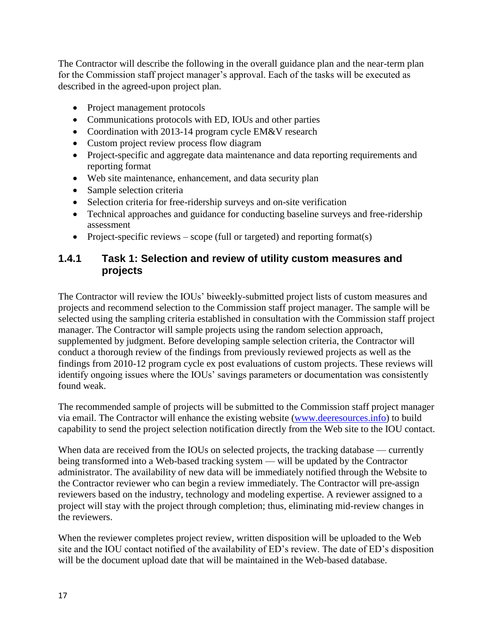The Contractor will describe the following in the overall guidance plan and the near-term plan for the Commission staff project manager's approval. Each of the tasks will be executed as described in the agreed-upon project plan.

- Project management protocols
- Communications protocols with ED, IOUs and other parties
- Coordination with 2013-14 program cycle EM&V research
- Custom project review process flow diagram
- Project-specific and aggregate data maintenance and data reporting requirements and reporting format
- Web site maintenance, enhancement, and data security plan
- Sample selection criteria
- Selection criteria for free-ridership surveys and on-site verification
- Technical approaches and guidance for conducting baseline surveys and free-ridership assessment
- Project-specific reviews scope (full or targeted) and reporting format(s)

#### **1.4.1 Task 1: Selection and review of utility custom measures and projects**

The Contractor will review the IOUs' biweekly-submitted project lists of custom measures and projects and recommend selection to the Commission staff project manager. The sample will be selected using the sampling criteria established in consultation with the Commission staff project manager. The Contractor will sample projects using the random selection approach, supplemented by judgment. Before developing sample selection criteria, the Contractor will conduct a thorough review of the findings from previously reviewed projects as well as the findings from 2010-12 program cycle ex post evaluations of custom projects. These reviews will identify ongoing issues where the IOUs' savings parameters or documentation was consistently found weak.

The recommended sample of projects will be submitted to the Commission staff project manager via email. The Contractor will enhance the existing website [\(www.deeresources.info\)](http://www.deeresources.info/) to build capability to send the project selection notification directly from the Web site to the IOU contact.

When data are received from the IOUs on selected projects, the tracking database — currently being transformed into a Web-based tracking system — will be updated by the Contractor administrator. The availability of new data will be immediately notified through the Website to the Contractor reviewer who can begin a review immediately. The Contractor will pre-assign reviewers based on the industry, technology and modeling expertise. A reviewer assigned to a project will stay with the project through completion; thus, eliminating mid-review changes in the reviewers.

When the reviewer completes project review, written disposition will be uploaded to the Web site and the IOU contact notified of the availability of ED's review. The date of ED's disposition will be the document upload date that will be maintained in the Web-based database.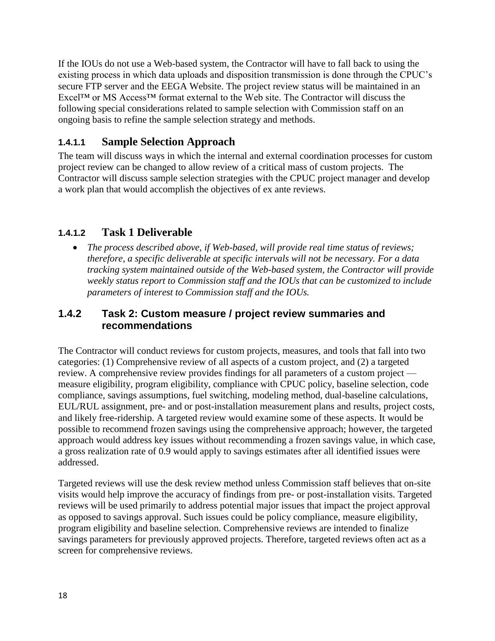If the IOUs do not use a Web-based system, the Contractor will have to fall back to using the existing process in which data uploads and disposition transmission is done through the CPUC's secure FTP server and the EEGA Website. The project review status will be maintained in an Excel™ or MS Access™ format external to the Web site. The Contractor will discuss the following special considerations related to sample selection with Commission staff on an ongoing basis to refine the sample selection strategy and methods.

#### **1.4.1.1 Sample Selection Approach**

The team will discuss ways in which the internal and external coordination processes for custom project review can be changed to allow review of a critical mass of custom projects. The Contractor will discuss sample selection strategies with the CPUC project manager and develop a work plan that would accomplish the objectives of ex ante reviews.

#### **1.4.1.2 Task 1 Deliverable**

• The process described above, if Web-based, will provide real *time status of reviews*; *therefore, a specific deliverable at specific intervals will not be necessary. For a data tracking system maintained outside of the Web-based system, the Contractor will provide weekly status report to Commission staff and the IOUs that can be customized to include parameters of interest to Commission staff and the IOUs.* 

#### **1.4.2 Task 2: Custom measure / project review summaries and recommendations**

The Contractor will conduct reviews for custom projects, measures, and tools that fall into two categories: (1) Comprehensive review of all aspects of a custom project, and (2) a targeted review. A comprehensive review provides findings for all parameters of a custom project measure eligibility, program eligibility, compliance with CPUC policy, baseline selection, code compliance, savings assumptions, fuel switching, modeling method, dual-baseline calculations, EUL/RUL assignment, pre- and or post-installation measurement plans and results, project costs, and likely free-ridership. A targeted review would examine some of these aspects. It would be possible to recommend frozen savings using the comprehensive approach; however, the targeted approach would address key issues without recommending a frozen savings value, in which case, a gross realization rate of 0.9 would apply to savings estimates after all identified issues were addressed.

Targeted reviews will use the desk review method unless Commission staff believes that on-site visits would help improve the accuracy of findings from pre- or post-installation visits. Targeted reviews will be used primarily to address potential major issues that impact the project approval as opposed to savings approval. Such issues could be policy compliance, measure eligibility, program eligibility and baseline selection. Comprehensive reviews are intended to finalize savings parameters for previously approved projects. Therefore, targeted reviews often act as a screen for comprehensive reviews.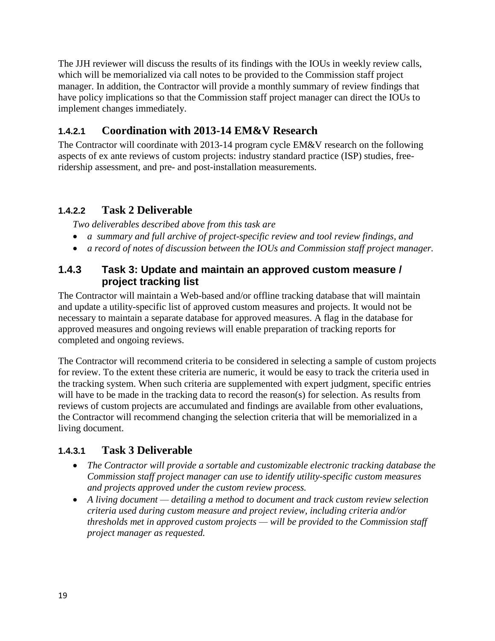The JJH reviewer will discuss the results of its findings with the IOUs in weekly review calls, which will be memorialized via call notes to be provided to the Commission staff project manager. In addition, the Contractor will provide a monthly summary of review findings that have policy implications so that the Commission staff project manager can direct the IOUs to implement changes immediately.

## **1.4.2.1 Coordination with 2013-14 EM&V Research**

The Contractor will coordinate with 2013-14 program cycle EM&V research on the following aspects of ex ante reviews of custom projects: industry standard practice (ISP) studies, freeridership assessment, and pre- and post-installation measurements.

#### **1.4.2.2 Task 2 Deliverable**

*Two deliverables described above from this task are*

- *a summary and full archive of project-specific review and tool review findings, and*
- *a record of notes of discussion between the IOUs and Commission staff project manager.*

#### **1.4.3 Task 3: Update and maintain an approved custom measure / project tracking list**

The Contractor will maintain a Web-based and/or offline tracking database that will maintain and update a utility-specific list of approved custom measures and projects. It would not be necessary to maintain a separate database for approved measures. A flag in the database for approved measures and ongoing reviews will enable preparation of tracking reports for completed and ongoing reviews.

The Contractor will recommend criteria to be considered in selecting a sample of custom projects for review. To the extent these criteria are numeric, it would be easy to track the criteria used in the tracking system. When such criteria are supplemented with expert judgment, specific entries will have to be made in the tracking data to record the reason(s) for selection. As results from reviews of custom projects are accumulated and findings are available from other evaluations, the Contractor will recommend changing the selection criteria that will be memorialized in a living document.

#### **1.4.3.1 Task 3 Deliverable**

- *The Contractor will provide a sortable and customizable electronic tracking database the Commission staff project manager can use to identify utility-specific custom measures and projects approved under the custom review process.*
- *A living document — detailing a method to document and track custom review selection criteria used during custom measure and project review, including criteria and/or thresholds met in approved custom projects — will be provided to the Commission staff project manager as requested.*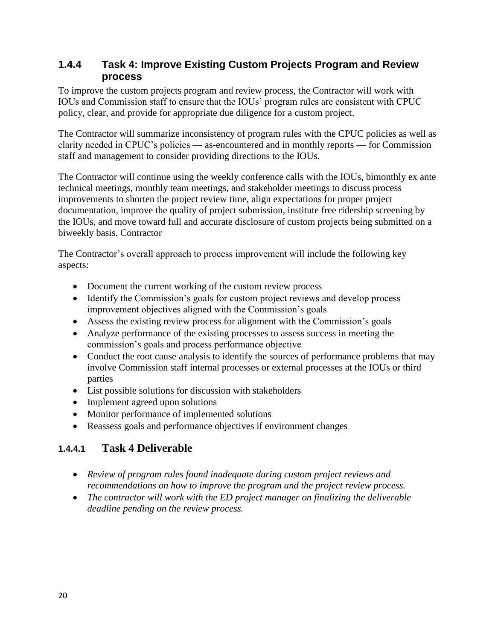#### **1.4.4 Task 4: Improve Existing Custom Projects Program and Review process**

To improve the custom projects program and review process, the Contractor will work with IOUs and Commission staff to ensure that the IOUs' program rules are consistent with CPUC policy, clear, and provide for appropriate due diligence for a custom project.

The Contractor will summarize inconsistency of program rules with the CPUC policies as well as clarity needed in CPUC's policies — as-encountered and in monthly reports — for Commission staff and management to consider providing directions to the IOUs.

The Contractor will continue using the weekly conference calls with the IOUs, bimonthly ex ante technical meetings, monthly team meetings, and stakeholder meetings to discuss process improvements to shorten the project review time, align expectations for proper project documentation, improve the quality of project submission, institute free ridership screening by the IOUs, and move toward full and accurate disclosure of custom projects being submitted on a biweekly basis. Contractor

The Contractor's overall approach to process improvement will include the following key aspects:

- Document the current working of the custom review process
- Identify the Commission's goals for custom project reviews and develop process improvement objectives aligned with the Commission's goals
- Assess the existing review process for alignment with the Commission's goals
- Analyze performance of the existing processes to assess success in meeting the commission's goals and process performance objective
- Conduct the root cause analysis to identify the sources of performance problems that may involve Commission staff internal processes or external processes at the IOUs or third parties
- List possible solutions for discussion with stakeholders
- Implement agreed upon solutions
- Monitor performance of implemented solutions
- Reassess goals and performance objectives if environment changes

#### **1.4.4.1 Task 4 Deliverable**

- *Review of program rules found inadequate during custom project reviews and recommendations on how to improve the program and the project review process.*
- *The contractor will work with the ED project manager on finalizing the deliverable deadline pending on the review process.*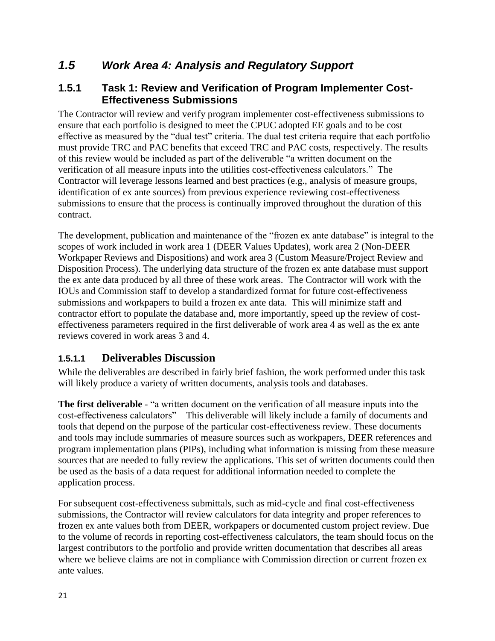## *1.5 Work Area 4: Analysis and Regulatory Support*

#### **1.5.1 Task 1: Review and Verification of Program Implementer Cost-Effectiveness Submissions**

The Contractor will review and verify program implementer cost-effectiveness submissions to ensure that each portfolio is designed to meet the CPUC adopted EE goals and to be cost effective as measured by the "dual test" criteria. The dual test criteria require that each portfolio must provide TRC and PAC benefits that exceed TRC and PAC costs, respectively. The results of this review would be included as part of the deliverable "a written document on the verification of all measure inputs into the utilities cost-effectiveness calculators." The Contractor will leverage lessons learned and best practices (e.g., analysis of measure groups, identification of ex ante sources) from previous experience reviewing cost-effectiveness submissions to ensure that the process is continually improved throughout the duration of this contract.

The development, publication and maintenance of the "frozen ex ante database" is integral to the scopes of work included in work area 1 (DEER Values Updates), work area 2 (Non-DEER Workpaper Reviews and Dispositions) and work area 3 (Custom Measure/Project Review and Disposition Process). The underlying data structure of the frozen ex ante database must support the ex ante data produced by all three of these work areas. The Contractor will work with the IOUs and Commission staff to develop a standardized format for future cost-effectiveness submissions and workpapers to build a frozen ex ante data. This will minimize staff and contractor effort to populate the database and, more importantly, speed up the review of costeffectiveness parameters required in the first deliverable of work area 4 as well as the ex ante reviews covered in work areas 3 and 4.

#### **1.5.1.1 Deliverables Discussion**

While the deliverables are described in fairly brief fashion, the work performed under this task will likely produce a variety of written documents, analysis tools and databases.

**The first deliverable** - "a written document on the verification of all measure inputs into the cost-effectiveness calculators" – This deliverable will likely include a family of documents and tools that depend on the purpose of the particular cost-effectiveness review. These documents and tools may include summaries of measure sources such as workpapers, DEER references and program implementation plans (PIPs), including what information is missing from these measure sources that are needed to fully review the applications. This set of written documents could then be used as the basis of a data request for additional information needed to complete the application process.

For subsequent cost-effectiveness submittals, such as mid-cycle and final cost-effectiveness submissions, the Contractor will review calculators for data integrity and proper references to frozen ex ante values both from DEER, workpapers or documented custom project review. Due to the volume of records in reporting cost-effectiveness calculators, the team should focus on the largest contributors to the portfolio and provide written documentation that describes all areas where we believe claims are not in compliance with Commission direction or current frozen ex ante values.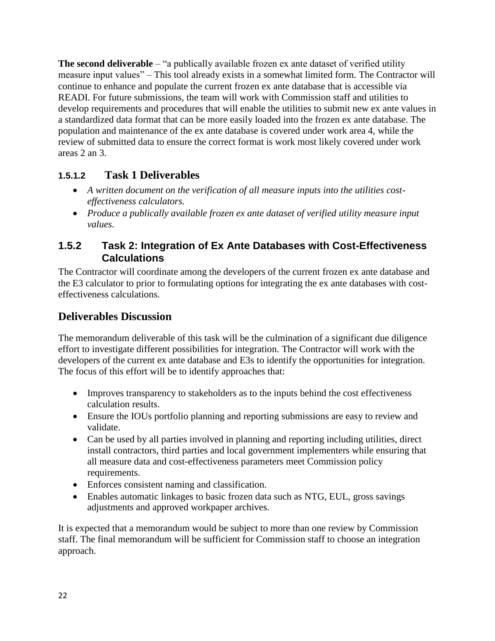**The second deliverable** – "a publically available frozen ex ante dataset of verified utility measure input values" – This tool already exists in a somewhat limited form. The Contractor will continue to enhance and populate the current frozen ex ante database that is accessible via READI. For future submissions, the team will work with Commission staff and utilities to develop requirements and procedures that will enable the utilities to submit new ex ante values in a standardized data format that can be more easily loaded into the frozen ex ante database. The population and maintenance of the ex ante database is covered under work area 4, while the review of submitted data to ensure the correct format is work most likely covered under work areas 2 an 3.

## **1.5.1.2 Task 1 Deliverables**

- *A written document on the verification of all measure inputs into the utilities costeffectiveness calculators.*
- *Produce a publically available frozen ex ante dataset of verified utility measure input values.*

#### **1.5.2 Task 2: Integration of Ex Ante Databases with Cost-Effectiveness Calculations**

The Contractor will coordinate among the developers of the current frozen ex ante database and the E3 calculator to prior to formulating options for integrating the ex ante databases with costeffectiveness calculations.

## **Deliverables Discussion**

The memorandum deliverable of this task will be the culmination of a significant due diligence effort to investigate different possibilities for integration. The Contractor will work with the developers of the current ex ante database and E3s to identify the opportunities for integration. The focus of this effort will be to identify approaches that:

- Improves transparency to stakeholders as to the inputs behind the cost effectiveness calculation results.
- Ensure the IOUs portfolio planning and reporting submissions are easy to review and validate.
- Can be used by all parties involved in planning and reporting including utilities, direct install contractors, third parties and local government implementers while ensuring that all measure data and cost-effectiveness parameters meet Commission policy requirements.
- Enforces consistent naming and classification.
- Enables automatic linkages to basic frozen data such as NTG, EUL, gross savings adjustments and approved workpaper archives.

It is expected that a memorandum would be subject to more than one review by Commission staff. The final memorandum will be sufficient for Commission staff to choose an integration approach.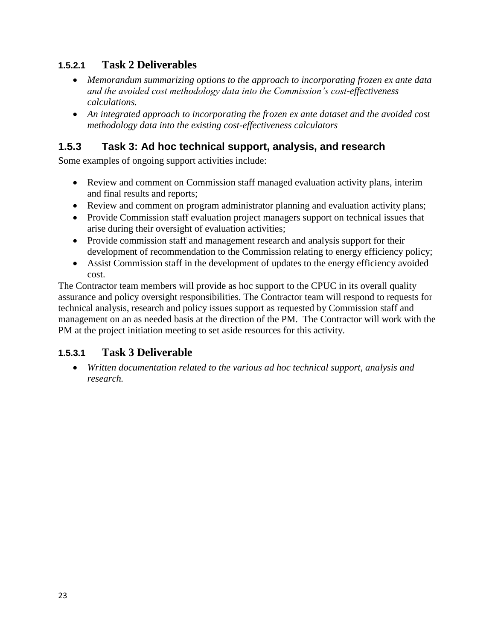#### **1.5.2.1 Task 2 Deliverables**

- *Memorandum summarizing options to the approach to incorporating frozen ex ante data and the avoided cost methodology data into the Commission's cost-effectiveness calculations.*
- *An integrated approach to incorporating the frozen ex ante dataset and the avoided cost methodology data into the existing cost-effectiveness calculators*

## **1.5.3 Task 3: Ad hoc technical support, analysis, and research**

Some examples of ongoing support activities include:

- Review and comment on Commission staff managed evaluation activity plans, interim and final results and reports;
- Review and comment on program administrator planning and evaluation activity plans;
- Provide Commission staff evaluation project managers support on technical issues that arise during their oversight of evaluation activities;
- Provide commission staff and management research and analysis support for their development of recommendation to the Commission relating to energy efficiency policy;
- Assist Commission staff in the development of updates to the energy efficiency avoided cost.

The Contractor team members will provide as hoc support to the CPUC in its overall quality assurance and policy oversight responsibilities. The Contractor team will respond to requests for technical analysis, research and policy issues support as requested by Commission staff and management on an as needed basis at the direction of the PM. The Contractor will work with the PM at the project initiation meeting to set aside resources for this activity.

#### **1.5.3.1 Task 3 Deliverable**

 *Written documentation related to the various ad hoc technical support, analysis and research.*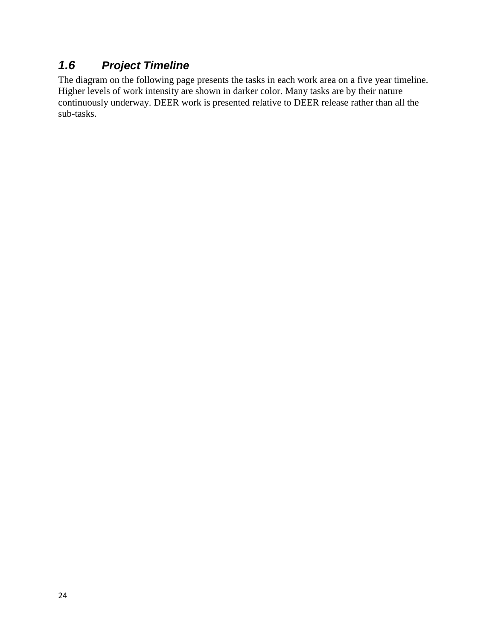# *1.6 Project Timeline*

The diagram on the following page presents the tasks in each work area on a five year timeline. Higher levels of work intensity are shown in darker color. Many tasks are by their nature continuously underway. DEER work is presented relative to DEER release rather than all the sub-tasks.